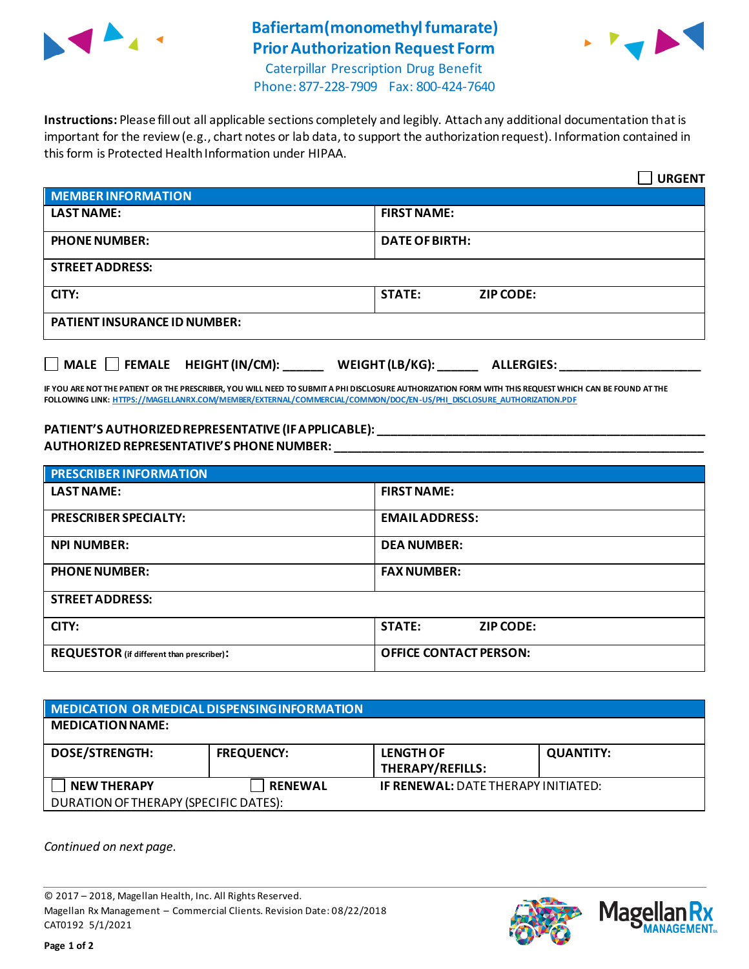

## **Bafiertam(monomethyl fumarate) Prior Authorization Request Form**



Caterpillar Prescription Drug Benefit Phone: 877-228-7909 Fax: 800-424-7640

**Instructions:** Please fill out all applicable sections completely and legibly. Attach any additional documentation that is important for the review (e.g., chart notes or lab data, to support the authorization request). Information contained in this form is Protected Health Information under HIPAA.

|                                                                       | <b>URGENT</b>                     |  |  |
|-----------------------------------------------------------------------|-----------------------------------|--|--|
| <b>MEMBER INFORMATION</b>                                             |                                   |  |  |
| <b>LAST NAME:</b>                                                     | <b>FIRST NAME:</b>                |  |  |
| <b>PHONE NUMBER:</b>                                                  | <b>DATE OF BIRTH:</b>             |  |  |
| <b>STREET ADDRESS:</b>                                                |                                   |  |  |
| CITY:                                                                 | <b>STATE:</b><br><b>ZIP CODE:</b> |  |  |
| <b>PATIENT INSURANCE ID NUMBER:</b>                                   |                                   |  |  |
| $MALE$ FEMALE HEIGHT (IN/CM):<br>WEIGHT (LB/KG):<br><b>ALLERGIES:</b> |                                   |  |  |

**IF YOU ARE NOT THE PATIENT OR THE PRESCRIBER, YOU WILL NEED TO SUBMIT A PHI DISCLOSURE AUTHORIZATION FORM WITH THIS REQUEST WHICH CAN BE FOUND AT THE FOLLOWING LINK[: HTTPS://MAGELLANRX.COM/MEMBER/EXTERNAL/COMMERCIAL/COMMON/DOC/EN-US/PHI\\_DISCLOSURE\\_AUTHORIZATION.PDF](https://magellanrx.com/member/external/commercial/common/doc/en-us/PHI_Disclosure_Authorization.pdf)**

## **PATIENT'S AUTHORIZED REPRESENTATIVE (IF APPLICABLE): \_\_\_\_\_\_\_\_\_\_\_\_\_\_\_\_\_\_\_\_\_\_\_\_\_\_\_\_\_\_\_\_\_\_\_\_\_\_\_\_\_\_\_\_\_\_\_\_\_ AUTHORIZED REPRESENTATIVE'S PHONE NUMBER: \_\_\_\_\_\_\_\_\_\_\_\_\_\_\_\_\_\_\_\_\_\_\_\_\_\_\_\_\_\_\_\_\_\_\_\_\_\_\_\_\_\_\_\_\_\_\_\_\_\_\_\_\_\_\_**

| <b>PRESCRIBER INFORMATION</b>             |                               |  |  |
|-------------------------------------------|-------------------------------|--|--|
| <b>LAST NAME:</b>                         | <b>FIRST NAME:</b>            |  |  |
| <b>PRESCRIBER SPECIALTY:</b>              | <b>EMAIL ADDRESS:</b>         |  |  |
| <b>NPI NUMBER:</b>                        | <b>DEA NUMBER:</b>            |  |  |
| <b>PHONE NUMBER:</b>                      | <b>FAX NUMBER:</b>            |  |  |
| <b>STREET ADDRESS:</b>                    |                               |  |  |
| CITY:                                     | <b>STATE:</b><br>ZIP CODE:    |  |  |
| REQUESTOR (if different than prescriber): | <b>OFFICE CONTACT PERSON:</b> |  |  |

| MEDICATION OR MEDICAL DISPENSING INFORMATION |                   |                                            |                  |  |  |
|----------------------------------------------|-------------------|--------------------------------------------|------------------|--|--|
| <b>MEDICATION NAME:</b>                      |                   |                                            |                  |  |  |
| <b>DOSE/STRENGTH:</b>                        | <b>FREQUENCY:</b> | <b>LENGTH OF</b><br>THERAPY/REFILLS:       | <b>QUANTITY:</b> |  |  |
| <b>NEW THERAPY</b>                           | <b>RENEWAL</b>    | <b>IF RENEWAL: DATE THERAPY INITIATED:</b> |                  |  |  |
| DURATION OF THERAPY (SPECIFIC DATES):        |                   |                                            |                  |  |  |

*Continued on next page.*

© 2017 – 2018, Magellan Health, Inc. All Rights Reserved. Magellan Rx Management – Commercial Clients. Revision Date: 08/22/2018 CAT0192 5/1/2021